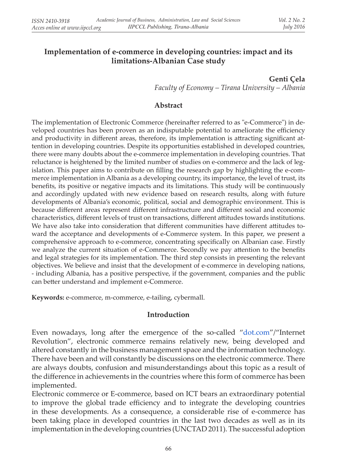## **Implementation of e-commerce in developing countries: impact and its limitations-Albanian Case study**

**Genti Çela**

*Faculty of Economy – Tirana University – Albania*

#### **Abstract**

The implementation of Electronic Commerce (hereinafter referred to as "e-Commerce") in developed countries has been proven as an indisputable potential to ameliorate the efficiency and productivity in different areas, therefore, its implementation is attracting significant attention in developing countries. Despite its opportunities established in developed countries, there were many doubts about the e-commerce implementation in developing countries. That reluctance is heightened by the limited number of studies on e-commerce and the lack of legislation. This paper aims to contribute on filling the research gap by highlighting the e-commerce implementation in Albania as a developing country, its importance, the level of trust, its benefits, its positive or negative impacts and its limitations. This study will be continuously and accordingly updated with new evidence based on research results, along with future developments of Albania's economic, political, social and demographic environment. This is because different areas represent different infrastructure and different social and economic characteristics, different levels of trust on transactions, different attitudes towards institutions. We have also take into consideration that different communities have different attitudes toward the acceptance and developments of e-Commerce system. In this paper, we present a comprehensive approach to e-commerce, concentrating specifically on Albanian case. Firstly we analyze the current situation of e-Commerce. Secondly we pay attention to the benefits and legal strategies for its implementation. The third step consists in presenting the relevant objectives. We believe and insist that the development of e-commerce in developing nations, - including Albania, has a positive perspective, if the government, companies and the public can better understand and implement e-Commerce.

**Keywords:** e-commerce, m-commerce, e-tailing, cybermall.

#### **Introduction**

Even nowadays, long after the emergence of the so-called "dot.com"/"Internet Revolution", electronic commerce remains relatively new, being developed and altered constantly in the business management space and the information technology. There have been and will constantly be discussions on the electronic commerce. There are always doubts, confusion and misunderstandings about this topic as a result of the difference in achievements in the countries where this form of commerce has been implemented.

Electronic commerce or E-commerce, based on ICT bears an extraordinary potential to improve the global trade efficiency and to integrate the developing countries in these developments. As a consequence, a considerable rise of e-commerce has been taking place in developed countries in the last two decades as well as in its implementation in the developing countries (UNCTAD 2011). The successful adoption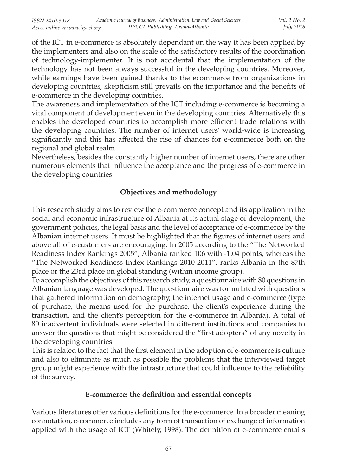of the ICT in e-commerce is absolutely dependant on the way it has been applied by the implementers and also on the scale of the satisfactory results of the coordination of technology-implementer. It is not accidental that the implementation of the technology has not been always successful in the developing countries. Moreover, while earnings have been gained thanks to the ecommerce from organizations in developing countries, skepticism still prevails on the importance and the benefits of e-commerce in the developing countries.

The awareness and implementation of the ICT including e-commerce is becoming a vital component of development even in the developing countries. Alternatively this enables the developed countries to accomplish more efficient trade relations with the developing countries. The number of internet users' world-wide is increasing significantly and this has affected the rise of chances for e-commerce both on the regional and global realm.

Nevertheless, besides the constantly higher number of internet users, there are other numerous elements that influence the acceptance and the progress of e-commerce in the developing countries.

### **Objectives and methodology**

This research study aims to review the e-commerce concept and its application in the social and economic infrastructure of Albania at its actual stage of development, the government policies, the legal basis and the level of acceptance of e-commerce by the Albanian internet users. It must be highlighted that the figures of internet users and above all of e-customers are encouraging. In 2005 according to the "The Networked Readiness Index Rankings 2005", Albania ranked 106 with -1.04 points, whereas the "The Networked Readiness Index Rankings 2010-2011", ranks Albania in the 87th place or the 23rd place on global standing (within income group).

To accomplish the objectives of this research study, a questionnaire with 80 questions in Albanian language was developed. The questionnaire was formulated with questions that gathered information on demography, the internet usage and e-commerce (type of purchase, the means used for the purchase, the client's experience during the transaction, and the client's perception for the e-commerce in Albania). A total of 80 inadvertent individuals were selected in different institutions and companies to answer the questions that might be considered the "first adopters" of any novelty in the developing countries.

This is related to the fact that the first element in the adoption of e-commerce is culture and also to eliminate as much as possible the problems that the interviewed target group might experience with the infrastructure that could influence to the reliability of the survey.

#### **E-commerce: the definition and essential concepts**

Various literatures offer various definitions for the e-commerce. In a broader meaning connotation, e-commerce includes any form of transaction of exchange of information applied with the usage of ICT (Whitely, 1998). The definition of e-commerce entails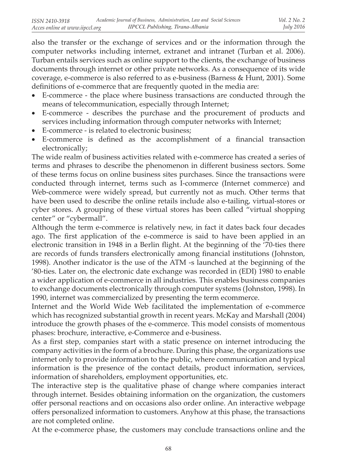also the transfer or the exchange of services and or the information through the computer networks including internet, extranet and intranet (Turban et al. 2006). Turban entails services such as online support to the clients, the exchange of business documents through internet or other private networks. As a consequence of its wide coverage, e-commerce is also referred to as e-business (Barness & Hunt, 2001). Some definitions of e-commerce that are frequently quoted in the media are:

- • E-commerce the place where business transactions are conducted through the means of telecommunication, especially through Internet;
- • E-commerce describes the purchase and the procurement of products and services including information through computer networks with Internet;
- E-commerce is related to electronic business;
- • E-commerce is defined as the accomplishment of a financial transaction electronically;

The wide realm of business activities related with e-commerce has created a series of terms and phrases to describe the phenomenon in different business sectors. Some of these terms focus on online business sites purchases. Since the transactions were conducted through internet, terms such as I-commerce (Internet commerce) and Web-commerce were widely spread, but currently not as much. Other terms that have been used to describe the online retails include also e-tailing, virtual-stores or cyber stores. A grouping of these virtual stores has been called "virtual shopping center" or "cybermall".

Although the term e-commerce is relatively new, in fact it dates back four decades ago. The first application of the e-commerce is said to have been applied in an electronic transition in 1948 in a Berlin flight. At the beginning of the '70-ties there are records of funds transfers electronically among financial institutions (Johnston, 1998). Another indicator is the use of the ATM -s launched at the beginning of the '80-ties. Later on, the electronic date exchange was recorded in (EDI) 1980 to enable a wider application of e-commerce in all industries. This enables business companies to exchange documents electronically through computer systems (Johnston, 1998). In 1990, internet was commercialized by presenting the term ecommerce.

Internet and the World Wide Web facilitated the implementation of e-commerce which has recognized substantial growth in recent years. McKay and Marshall (2004) introduce the growth phases of the e-commerce. This model consists of momentous phases: brochure, interactive, e-Commerce and e-business.

As a first step, companies start with a static presence on internet introducing the company activities in the form of a brochure. During this phase, the organizations use internet only to provide information to the public, where communication and typical information is the presence of the contact details, product information, services, information of shareholders, employment opportunities, etc.

The interactive step is the qualitative phase of change where companies interact through internet. Besides obtaining information on the organization, the customers offer personal reactions and on occasions also order online. An interactive webpage offers personalized information to customers. Anyhow at this phase, the transactions are not completed online.

At the e-commerce phase, the customers may conclude transactions online and the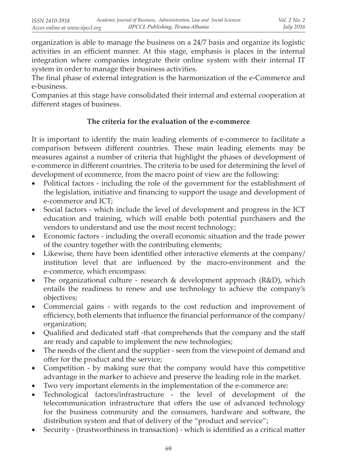organization is able to manage the business on a 24/7 basis and organize its logistic activities in an efficient manner. At this stage, emphasis is places in the internal integration where companies integrate their online system with their internal IT system in order to manage their business activities.

The final phase of external integration is the harmonization of the e-Commerce and e-business.

Companies at this stage have consolidated their internal and external cooperation at different stages of business.

### **The criteria for the evaluation of the e-commerce**

It is important to identify the main leading elements of e-commerce to facilitate a comparison between different countries. These main leading elements may be measures against a number of criteria that highlight the phases of development of e-commerce in different countries. The criteria to be used for determining the level of development of ecommerce, from the macro point of view are the following:

- Political factors including the role of the government for the establishment of the legislation, initiative and financing to support the usage and development of e-commerce and ICT;
- Social factors which include the level of development and progress in the ICT education and training, which will enable both potential purchasers and the vendors to understand and use the most recent technology;
- Economic factors including the overall economic situation and the trade power of the country together with the contributing elements;
- • Likewise, there have been identified other interactive elements at the company/ institution level that are influenced by the macro-environment and the e-commerce, which encompass:
- The organizational culture research  $\&$  development approach (R&D), which entails the readiness to renew and use technology to achieve the company's objectives;
- • Commercial gains with regards to the cost reduction and improvement of efficiency, both elements that influence the financial performance of the company/ organization;
- Qualified and dedicated staff -that comprehends that the company and the staff are ready and capable to implement the new technologies;
- The needs of the client and the supplier seen from the viewpoint of demand and offer for the product and the service;
- • Competition by making sure that the company would have this competitive advantage in the marker to achieve and preserve the leading role in the market.
- Two very important elements in the implementation of the e-commerce are:
- Technological factors/infrastructure the level of development of the telecommunication infrastructure that offers the use of advanced technology for the business community and the consumers, hardware and software, the distribution system and that of delivery of the "product and service";
- Security (trustworthiness in transaction) which is identified as a critical matter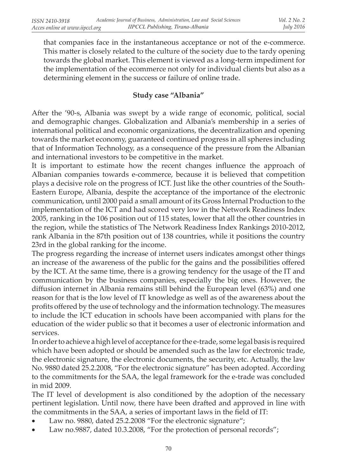that companies face in the instantaneous acceptance or not of the e-commerce. This matter is closely related to the culture of the society due to the tardy opening towards the global market. This element is viewed as a long-term impediment for the implementation of the ecommerce not only for individual clients but also as a determining element in the success or failure of online trade.

### **Study case "Albania"**

After the '90-s, Albania was swept by a wide range of economic, political, social and demographic changes. Globalization and Albania's membership in a series of international political and economic organizations, the decentralization and opening towards the market economy, guaranteed continued progress in all spheres including that of Information Technology, as a consequence of the pressure from the Albanian and international investors to be competitive in the market.

It is important to estimate how the recent changes influence the approach of Albanian companies towards e-commerce, because it is believed that competition plays a decisive role on the progress of ICT. Just like the other countries of the South-Eastern Europe, Albania, despite the acceptance of the importance of the electronic communication, until 2000 paid a small amount of its Gross Internal Production to the implementation of the ICT and had scored very low in the Network Readiness Index 2005, ranking in the 106 position out of 115 states, lower that all the other countries in the region, while the statistics of The Network Readiness Index Rankings 2010-2012, rank Albania in the 87th position out of 138 countries, while it positions the country 23rd in the global ranking for the income.

The progress regarding the increase of internet users indicates amongst other things an increase of the awareness of the public for the gains and the possibilities offered by the ICT. At the same time, there is a growing tendency for the usage of the IT and communication by the business companies, especially the big ones. However, the diffusion internet in Albania remains still behind the European level (63%) and one reason for that is the low level of IT knowledge as well as of the awareness about the profits offered by the use of technology and the information technology. The measures to include the ICT education in schools have been accompanied with plans for the education of the wider public so that it becomes a user of electronic information and services.

In order to achieve a high level of acceptance for the e-trade, some legal basis is required which have been adopted or should be amended such as the law for electronic trade, the electronic signature, the electronic documents, the security, etc. Actually, the law No. 9880 dated 25.2.2008, "For the electronic signature" has been adopted. According to the commitments for the SAA, the legal framework for the e-trade was concluded in mid 2009.

The IT level of development is also conditioned by the adoption of the necessary pertinent legislation. Until now, there have been drafted and approved in line with the commitments in the SAA, a series of important laws in the field of IT:

- Law no. 9880, dated 25.2.2008 "For the electronic signature";
- Law no.9887, dated 10.3.2008, "For the protection of personal records";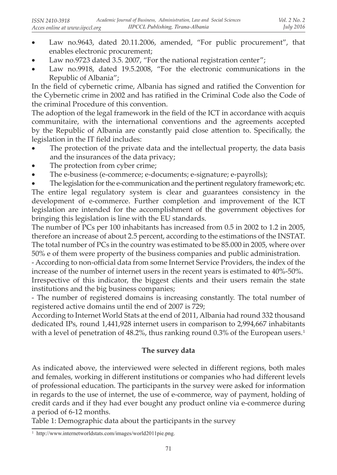- Law no.9643, dated 20.11.2006, amended, "For public procurement", that enables electronic procurement;
- Law no.9723 dated 3.5. 2007, "For the national registration center";
- Law no.9918, dated 19.5.2008, "For the electronic communications in the Republic of Albania";

In the field of cybernetic crime, Albania has signed and ratified the Convention for the Cybernetic crime in 2002 and has ratified in the Criminal Code also the Code of the criminal Procedure of this convention.

The adoption of the legal framework in the field of the ICT in accordance with acquis communitaire, with the international conventions and the agreements accepted by the Republic of Albania are constantly paid close attention to. Specifically, the legislation in the IT field includes:

- The protection of the private data and the intellectual property, the data basis and the insurances of the data privacy;
- The protection from cyber crime;
- The e-business (e-commerce; e-documents; e-signature; e-payrolls);

The legislation for the e-communication and the pertinent regulatory framework; etc. The entire legal regulatory system is clear and guarantees consistency in the development of e-commerce. Further completion and improvement of the ICT legislation are intended for the accomplishment of the government objectives for bringing this legislation is line with the EU standards.

The number of PCs per 100 inhabitants has increased from 0.5 in 2002 to 1.2 in 2005, therefore an increase of about 2.5 percent, according to the estimations of the INSTAT. The total number of PCs in the country was estimated to be 85.000 in 2005, where over 50% e of them were property of the business companies and public administration.

- According to non-official data from some Internet Service Providers, the index of the increase of the number of internet users in the recent years is estimated to 40%-50%.

Irrespective of this indicator, the biggest clients and their users remain the state institutions and the big business companies;

- The number of registered domains is increasing constantly. The total number of registered active domains until the end of 2007 is 729;

According to Internet World Stats at the end of 2011, Albania had round 332 thousand dedicated IPs, round 1,441,928 internet users in comparison to 2,994,667 inhabitants with a level of penetration of  $48.2\%$ , thus ranking round 0.3% of the European users.<sup>1</sup>

# **The survey data**

As indicated above, the interviewed were selected in different regions, both males and females, working in different institutions or companies who had different levels of professional education. The participants in the survey were asked for information in regards to the use of internet, the use of e-commerce, way of payment, holding of credit cards and if they had ever bought any product online via e-commerce during a period of 6-12 months.

Table 1: Demographic data about the participants in the survey

<sup>1</sup> http://www.internetworldstats.com/images/world2011pie.png.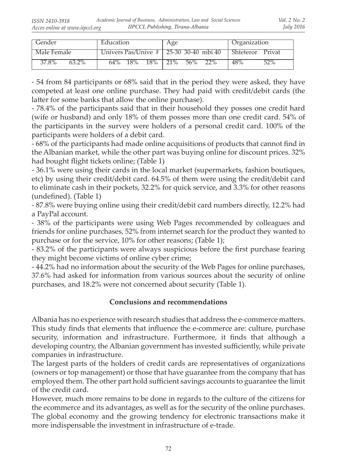| Gender         | Education                                   | Age               | Organization     |
|----------------|---------------------------------------------|-------------------|------------------|
| Male Female    | Univers Pas/Unive $\#$   25-30 30-40 mbi 40 |                   | Shteteror Privat |
| 37.8%<br>63.2% | 18%<br>18%<br>$64\%$                        | 21%<br>56%<br>22% | 52%<br>48%       |

- 54 from 84 participants or 68% said that in the period they were asked, they have competed at least one online purchase. They had paid with credit/debit cards (the latter for some banks that allow the online purchase).

- 78.4% of the participants said that in their household they posses one credit hard (wife or husband) and only 18% of them posses more than one credit card. 54% of the participants in the survey were holders of a personal credit card. 100% of the participants were holders of a debit card.

- 68% of the participants had made online acquisitions of products that cannot find in the Albanian market, while the other part was buying online for discount prices. 32% had bought flight tickets online; (Table 1)

- 36.1% were using their cards in the local market (supermarkets, fashion boutiques, etc) by using their credit/debit card. 64.5% of them were using the credit/debit card to eliminate cash in their pockets, 32.2% for quick service, and 3.3% for other reasons (undefined). (Table 1)

- 87.8% were buying online using their credit/debit card numbers directly, 12.2% had a PayPal account.

- 38% of the participants were using Web Pages recommended by colleagues and friends for online purchases, 52% from internet search for the product they wanted to purchase or for the service, 10% for other reasons; (Table 1);

- 83.2% of the participants were always suspicious before the first purchase fearing they might become victims of online cyber crime;

- 44.2% had no information about the security of the Web Pages for online purchases, 37.6% had asked for information from various sources about the security of online purchases, and 18.2% were not concerned about security (Table 1).

### **Conclusions and recommendations**

Albania has no experience with research studies that address the e-commerce matters. This study finds that elements that influence the e-commerce are: culture, purchase security, information and infrastructure. Furthermore, it finds that although a developing country, the Albanian government has invested sufficiently, while private companies in infrastructure.

The largest parts of the holders of credit cards are representatives of organizations (owners or top management) or those that have guarantee from the company that has employed them. The other part hold sufficient savings accounts to guarantee the limit of the credit card.

However, much more remains to be done in regards to the culture of the citizens for the ecommerce and its advantages, as well as for the security of the online purchases. The global economy and the growing tendency for electronic transactions make it more indispensable the investment in infrastructure of e-trade.